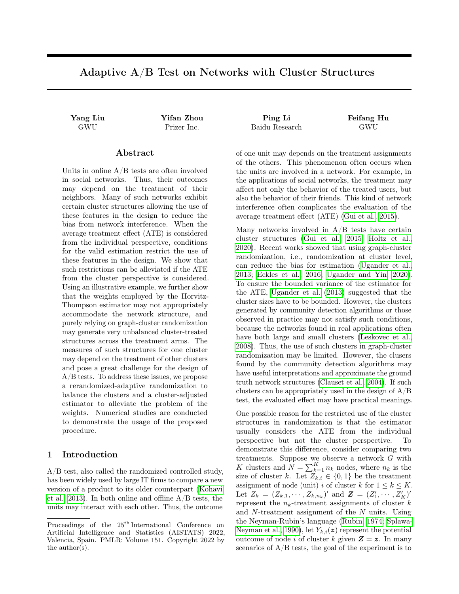# Adaptive A/B Test on Networks with Cluster Structures

### Abstract

Units in online A/B tests are often involved in social networks. Thus, their outcomes may depend on the treatment of their neighbors. Many of such networks exhibit certain cluster structures allowing the use of these features in the design to reduce the bias from network interference. When the average treatment effect (ATE) is considered from the individual perspective, conditions for the valid estimation restrict the use of these features in the design. We show that such restrictions can be alleviated if the ATE from the cluster perspective is considered. Using an illustrative example, we further show that the weights employed by the Horvitz-Thompson estimator may not appropriately accommodate the network structure, and purely relying on graph-cluster randomization may generate very unbalanced cluster-treated structures across the treatment arms. The measures of such structures for one cluster may depend on the treatment of other clusters and pose a great challenge for the design of A/B tests. To address these issues, we propose a rerandomized-adaptive randomization to balance the clusters and a cluster-adjusted estimator to alleviate the problem of the weights. Numerical studies are conducted to demonstrate the usage of the proposed procedure.

### 1 Introduction

A/B test, also called the randomized controlled study, has been widely used by large IT firms to compare a new version of a product to its older counterpart [\(Kohavi](#page-8-0) [et al., 2013\)](#page-8-0). In both online and offline  $A/B$  tests, the units may interact with each other. Thus, the outcome

Yang Liu Yifan Zhou Ping Li Feifang Hu GWU Prizer Inc. Baidu Research GWU

of one unit may depends on the treatment assignments of the others. This phenomenon often occurs when the units are involved in a network. For example, in the applications of social networks, the treatment may affect not only the behavior of the treated users, but also the behavior of their friends. This kind of network interference often complicates the evaluation of the average treatment effect (ATE) [\(Gui et al., 2015\)](#page-8-1).

Many networks involved in  $A/B$  tests have certain cluster structures [\(Gui et al., 2015;](#page-8-1) [Holtz et al.,](#page-8-2) [2020\)](#page-8-2). Recent works showed that using graph-cluster randomization, i.e., randomization at cluster level, can reduce the bias for estimation [\(Ugander et al.,](#page-9-0) [2013;](#page-9-0) [Eckles et al., 2016;](#page-8-3) [Ugander and Yin, 2020\)](#page-9-1). To ensure the bounded variance of the estimator for the ATE, [Ugander et al.](#page-9-0) [\(2013\)](#page-9-0) suggested that the cluster sizes have to be bounded. However, the clusters generated by community detection algorithms or those observed in practice may not satisfy such conditions, because the networks found in real applications often have both large and small clusters [\(Leskovec et al.,](#page-8-4) [2008\)](#page-8-4). Thus, the use of such clusters in graph-cluster randomization may be limited. However, the clusers found by the community detection algorithms may have useful interpretations and approximate the ground truth network structures [\(Clauset et al., 2004\)](#page-8-5). If such clusters can be appropriately used in the design of A/B test, the evaluated effect may have practical meanings.

One possible reason for the restricted use of the cluster structures in randomization is that the estimator usually considers the ATE from the individual perspective but not the cluster perspective. To demonstrate this difference, consider comparing two treatments. Suppose we observe a network G with K clusters and  $\overline{N} = \sum_{k=1}^{K} n_k$  nodes, where  $n_k$  is the size of cluster k. Let  $Z_{k,i} \in \{0,1\}$  be the treatment assignment of node (unit) i of cluster k for  $1 \leq k \leq K$ . Let  $Z_k = (Z_{k,1}, \dots, Z_{k,n_k})'$  and  $\mathbf{Z} = (Z'_1, \dots, Z'_K)'$ represent the  $n_k$ -treatment assignments of cluster  $k$ and N-treatment assignment of the N units. Using the Neyman-Rubin's language [\(Rubin, 1974;](#page-9-2) [Splawa-](#page-9-3)[Neyman et al., 1990\)](#page-9-3), let  $Y_{k,i}(z)$  represent the potential outcome of node i of cluster k given  $\mathbf{Z} = \mathbf{z}$ . In many scenarios of  $A/B$  tests, the goal of the experiment is to

Proceedings of the 25th International Conference on Artificial Intelligence and Statistics (AISTATS) 2022, Valencia, Spain. PMLR: Volume 151. Copyright 2022 by the author(s).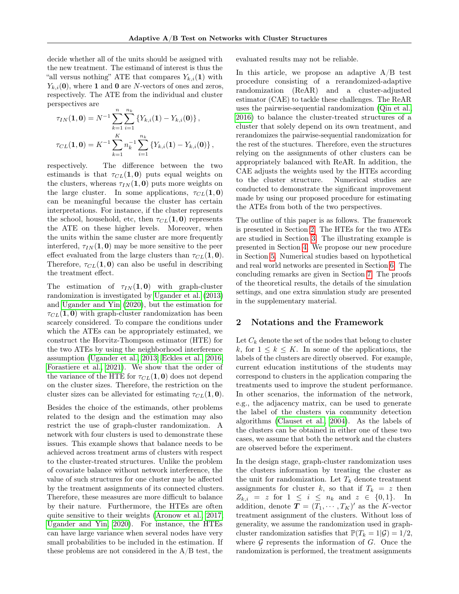decide whether all of the units should be assigned with the new treatment. The estimand of interest is thus the "all versus nothing" ATE that compares  $Y_{k,i}(1)$  with  $Y_{k,i}(\mathbf{0})$ , where 1 and 0 are N-vectors of ones and zeros, respectively. The ATE from the individual and cluster perspectives are

$$
\tau_{IN}(\mathbf{1}, \mathbf{0}) = N^{-1} \sum_{k=1}^{n} \sum_{i=1}^{n_k} \left\{ Y_{k,i}(\mathbf{1}) - Y_{k,i}(\mathbf{0}) \right\},
$$
  

$$
\tau_{CL}(\mathbf{1}, \mathbf{0}) = K^{-1} \sum_{k=1}^{K} n_k^{-1} \sum_{i=1}^{n_k} \left\{ Y_{k,i}(\mathbf{1}) - Y_{k,i}(\mathbf{0}) \right\},
$$

respectively. The difference between the two estimands is that  $\tau_{CL}(1, 0)$  puts equal weights on the clusters, whereas  $\tau_{IN}(1, 0)$  puts more weights on the large cluster. In some applications,  $\tau_{CL}(1, 0)$ can be meaningful because the cluster has certain interpretations. For instance, if the cluster represents the school, household, etc, then  $\tau_{CL}(1, 0)$  represents the ATE on these higher levels. Moreover, when the units within the same cluster are more frequently interfered,  $\tau_{IN}(1, 0)$  may be more sensitive to the peer effect evaluated from the large clusters than  $\tau_{CL}(1, 0)$ . Therefore,  $\tau_{CL}(1, 0)$  can also be useful in describing the treatment effect.

The estimation of  $\tau_{IN}(1,0)$  with graph-cluster randomization is investigated by [Ugander et al.](#page-9-0) [\(2013\)](#page-9-0) and [Ugander and Yin](#page-9-1) [\(2020\)](#page-9-1), but the estimation for  $\tau_{CL}(1, 0)$  with graph-cluster randomization has been scarcely considered. To compare the conditions under which the ATEs can be appropriately estimated, we construct the Horvitz-Thompson estimator (HTE) for the two ATEs by using the neighborhood interference assumption [\(Ugander et al., 2013;](#page-9-0) [Eckles et al., 2016;](#page-8-3) [Forastiere et al., 2021\)](#page-8-6). We show that the order of the variance of the HTE for  $\tau_{CL}(1, 0)$  does not depend on the cluster sizes. Therefore, the restriction on the cluster sizes can be alleviated for estimating  $\tau_{CL}(1, 0)$ .

Besides the choice of the estimands, other problems related to the design and the estimation may also restrict the use of graph-cluster randomization. A network with four clusters is used to demonstrate these issues. This example shows that balance needs to be achieved across treatment arms of clusters with respect to the cluster-treated structures. Unlike the problem of covariate balance without network interference, the value of such structures for one cluster may be affected by the treatment assignments of its connected clusters. Therefore, these measures are more difficult to balance by their nature. Furthermore, the HTEs are often quite sensitive to their weights [\(Aronow et al., 2017;](#page-8-7) [Ugander and Yin, 2020\)](#page-9-1). For instance, the HTEs can have large variance when several nodes have very small probabilities to be included in the estimation. If these problems are not considered in the  $\rm A/B$  test, the evaluated results may not be reliable.

In this article, we propose an adaptive  $A/B$  test procedure consisting of a rerandomized-adaptive randomization (ReAR) and a cluster-adjusted estimator (CAE) to tackle these challenges. The ReAR uses the pairwise-sequential randomization [\(Qin et al.,](#page-9-4) [2016\)](#page-9-4) to balance the cluster-treated structures of a cluster that solely depend on its own treatment, and rerandomizes the pairwise-sequential randomization for the rest of the stuctures. Therefore, even the structures relying on the assignments of other clusters can be appropriately balanced with ReAR. In addition, the CAE adjusts the weights used by the HTEs according to the cluster structure. Numerical studies are conducted to demonstrate the significant improvement made by using our proposed procedure for estimating the ATEs from both of the two perspectives.

The outline of this paper is as follows. The framework is presented in Section [2.](#page-1-0) The HTEs for the two ATEs are studied in Section [3.](#page-2-0) The illustrating example is presented in Section [4.](#page-3-0) We propose our new procedure in Section [5.](#page-4-0) Numerical studies based on hypothetical and real world networks are presented in Section [6.](#page-5-0) The concluding remarks are given in Section [7.](#page-7-0) The proofs of the theoretical results, the details of the simulation settings, and one extra simulation study are presented in the supplementary material.

### <span id="page-1-0"></span>2 Notations and the Framework

Let  $C_k$  denote the set of the nodes that belong to cluster k, for  $1 \leq k \leq K$ . In some of the applications, the labels of the clusters are directly observed. For example, current education institutions of the students may correspond to clusters in the application comparing the treatments used to improve the student performance. In other scenarios, the information of the network, e.g., the adjacency matrix, can be used to generate the label of the clusters via community detection algorithms [\(Clauset et al., 2004\)](#page-8-5). As the labels of the clusters can be obtained in either one of these two cases, we assume that both the network and the clusters are observed before the experiment.

In the design stage, graph-cluster randomization uses the clusters information by treating the cluster as the unit for randomization. Let  $T_k$  denote treatment assignments for cluster k, so that if  $T_k = z$  then  $Z_{k,i} = z$  for  $1 \leq i \leq n_k$  and  $z \in \{0,1\}.$  In addition, denote  $T = (T_1, \dots, T_K)'$  as the K-vector treatment assignment of the clusters. Without loss of generality, we assume the randomization used in graphcluster randomization satisfies that  $\mathbb{P}(T_k = 1|\mathcal{G}) = 1/2$ , where  $G$  represents the information of  $G$ . Once the randomization is performed, the treatment assignments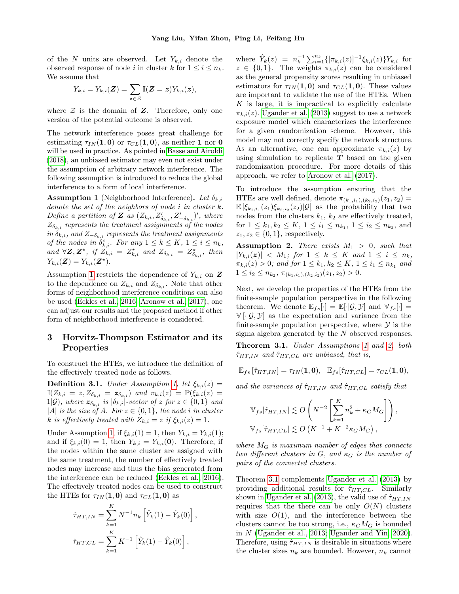of the N units are observed. Let  $Y_{k,i}$  denote the observed response of node i in cluster k for  $1 \leq i \leq n_k$ . We assume that

$$
Y_{k,i} = Y_{k,i}(\boldsymbol{Z}) = \sum_{\boldsymbol{z} \in \mathcal{Z}} \mathbb{I}(\boldsymbol{Z} = \boldsymbol{z}) Y_{k,i}(\boldsymbol{z}),
$$

where  $Z$  is the domain of  $Z$ . Therefore, only one version of the potential outcome is observed.

The network interference poses great challenge for estimating  $\tau_{IN}(1,0)$  or  $\tau_{CL}(1,0)$ , as neither 1 nor 0 will be used in practice. As pointed in [Basse and Airoldi](#page-8-8) [\(2018\)](#page-8-8), an unbiased estimator may even not exist under the assumption of arbitrary network interference. The following assumption is introduced to reduce the global interference to a form of local interference.

<span id="page-2-1"></span>**Assumption 1** (Neighborhood Interference). Let  $\delta_{k,i}$ denote the set of the neighbors of node  $i$  in cluster  $k$ . Define a partition of **Z** as  $(Z_{k,i}, Z'_{\delta_{k,i}}, Z'_{-\delta_{k,i}})'$ , where  $Z_{\delta_{k,i}}$  represents the treatment assignments of the nodes in  $\delta_{k,i}$ , and  $Z_{-\delta_{k,i}}$  represents the treatment assignments of the nodes in  $\delta_{k,i}^c$ . For any  $1 \leq k \leq K$ ,  $1 \leq i \leq n_k$ , and  $\forall \mathbf{Z}, \mathbf{Z}^{\star}$ , if  $\widetilde{Z}_{k,i} = Z^{\star}_{k,i}$  and  $Z_{\delta_{k,i}} = Z^{\star}_{\delta_{k,i}}$ , then  $Y_{k,i}(\mathbf{Z}) = Y_{k,i}(\mathbf{Z}^{\star}).$ 

Assumption [1](#page-2-1) restricts the dependence of  $Y_{k,i}$  on  $\mathbf{Z}$ to the dependence on  $Z_{k,i}$  and  $Z_{\delta_{k,i}}$ . Note that other forms of neighborhood interference conditions can also be used [\(Eckles et al., 2016;](#page-8-3) [Aronow et al., 2017\)](#page-8-7), one can adjust our results and the proposed method if other form of neighborhood interference is considered.

## <span id="page-2-0"></span>3 Horvitz-Thompson Estimator and its Properties

To construct the HTEs, we introduce the definition of the effectively treated node as follows.

**Definition 3.1.** Under Assumption [1,](#page-2-1) let  $\xi_{k,i}(z) =$  $\mathbb{I}(Z_{k,i} \ = \ z, Z_{\delta_{k,i}} \ = \ \boldsymbol{z}_{\delta_{k,i}}) \ \ and \ \ \pi_{k,i}(z) \ = \ \mathbb{P}(\xi_{k,i}(z) \ =$ 1|G), where  $z_{\delta_{k,i}}$  is  $|\delta_{k,i}|$ -vector of z for  $z \in \{0,1\}$  and |A| is the size of A. For  $z \in \{0,1\}$ , the node i in cluster k is effectively treated with  $Z_{k,i} = z$  if  $\xi_{k,i}(z) = 1$ .

Under Assumption [1,](#page-2-1) if  $\xi_{k,i}(1) = 1$ , then  $Y_{k,i} = Y_{k,i}(1)$ ; and if  $\xi_{k,i}(0) = 1$ , then  $Y_{k,i} = Y_{k,i}(0)$ . Therefore, if the nodes within the same cluster are assigned with the same treatment, the number of effectively treated nodes may increase and thus the bias generated from the interference can be reduced [\(Eckles et al., 2016\)](#page-8-3). The effectively treated nodes can be used to construct the HTEs for  $\tau_{IN}(1,0)$  and  $\tau_{CL}(1,0)$  as

$$
\hat{\tau}_{HT,IN} = \sum_{k=1}^{K} N^{-1} n_k \left[ \hat{Y}_k(1) - \hat{Y}_k(0) \right],
$$
  

$$
\hat{\tau}_{HT,CL} = \sum_{k=1}^{K} K^{-1} \left[ \hat{Y}_k(1) - \hat{Y}_k(0) \right],
$$

where  $\hat{Y}_k(z) = n_k^{-1} \sum_{i=1}^{n_k} \{ [\pi_{k,i}(z)]^{-1} \xi_{k,i}(z) \} Y_{k,i}$  for  $z \in \{0,1\}$ . The weights  $\pi_{k,i}(z)$  can be considered as the general propensity scores resulting in unbiased estimators for  $\tau_{IN}(1,0)$  and  $\tau_{CL}(1,0)$ . These values are important to validate the use of the HTEs. When  $K$  is large, it is impractical to explicitly calculate  $\pi_{k,i}(z)$ . [Ugander et al.](#page-9-0) [\(2013\)](#page-9-0) suggest to use a network exposure model which characterizes the interference for a given randomization scheme. However, this model may not correctly specify the network structure. As an alternative, one can approximate  $\pi_{k,i}(z)$  by using simulation to replicate  $T$  based on the given randomization procedure. For more details of this approach, we refer to [Aronow et al.](#page-8-7) [\(2017\)](#page-8-7).

To introduce the assumption ensuring that the HTEs are well defined, denote  $\pi_{(k_1,i_1),(k_2,i_2)}(z_1, z_2) =$  $\mathbb{E} \left[ \xi_{k_1,i_1}(z_1) \xi_{k_2,i_2}(z_2) | \mathcal{G} \right]$  as the probability that two nodes from the clusters  $k_1$ ,  $k_2$  are effectively treated, for  $1 \leq k_1, k_2 \leq K$ ,  $1 \leq i_1 \leq n_{k_1}$ ,  $1 \leq i_2 \leq n_{k_2}$ , and  $z_1, z_2 \in \{0, 1\}$ , respectively.

<span id="page-2-2"></span>**Assumption 2.** There exists  $M_1 > 0$ , such that  $|Y_{k,i}(z)| \leq M_1$ ; for  $1 \leq k \leq K$  and  $1 \leq i \leq n_k$ ,  $\pi_{k,i}(z) > 0$ ; and for  $1 \leq k_1, k_2 \leq K$ ,  $1 \leq i_1 \leq n_{k_1}$  and  $1 \leq i_2 \leq n_{k_2}, \pi_{(k_1,i_1),(k_2,i_2)}(z_1,z_2) > 0.$ 

Next, we develop the properties of the HTEs from the finite-sample population perspective in the following theorem. We denote  $\mathbb{E}_{fs}[\cdot] = \mathbb{E}[\cdot|\mathcal{G},\mathcal{Y}]$  and  $\mathbb{V}_{fs}[\cdot] =$  $V[\cdot|\mathcal{G},\mathcal{Y}]$  as the expectation and variance from the finite-sample population perspective, where  $\mathcal Y$  is the sigma algebra generated by the N observed responses.

<span id="page-2-3"></span>Theorem 3.1. Under Assumptions [1](#page-2-1) and [2,](#page-2-2) both  $\hat{\tau}_{HT,IN}$  and  $\hat{\tau}_{HT,CL}$  are unbiased, that is,

$$
\mathbb{E}_{fs} \left[ \hat{\tau}_{HT,IN} \right] = \tau_{IN}(\mathbf{1}, \mathbf{0}), \quad \mathbb{E}_{fs} \left[ \hat{\tau}_{HT,CL} \right] = \tau_{CL}(\mathbf{1}, \mathbf{0}),
$$

and the variances of  $\hat{\tau}_{HT,IN}$  and  $\hat{\tau}_{HT,CL}$  satisfy that

$$
\mathbb{V}_{fs}[\hat{\tau}_{HT,IN}] \lesssim O\left(N^{-2} \left[\sum_{k=1}^K n_k^2 + \kappa_G M_G\right]\right),
$$
  

$$
\mathbb{V}_{fs}[\hat{\tau}_{HT,CL}] \lesssim O\left(K^{-1} + K^{-2} \kappa_G M_G\right),
$$

where  $M_G$  is maximum number of edges that connects two different clusters in  $G$ , and  $\kappa_G$  is the number of pairs of the connected clusters.

Theorem [3.1](#page-2-3) complements [Ugander et al.](#page-9-0) [\(2013\)](#page-9-0) by providing additional results for  $\hat{\tau}_{HT,CL}$ . Similarly shown in [Ugander et al.](#page-9-0) [\(2013\)](#page-9-0), the valid use of  $\hat{\tau}_{HT,IN}$ requires that the there can be only  $O(N)$  clusters with size  $O(1)$ , and the interference between the clusters cannot be too strong, i.e.,  $\kappa_G M_G$  is bounded in N [\(Ugander et al., 2013;](#page-9-0) [Ugander and Yin, 2020\)](#page-9-1). Therefore, using  $\hat{\tau}_{HT,IN}$  is desirable in situations where the cluster sizes  $n_k$  are bounded. However,  $n_k$  cannot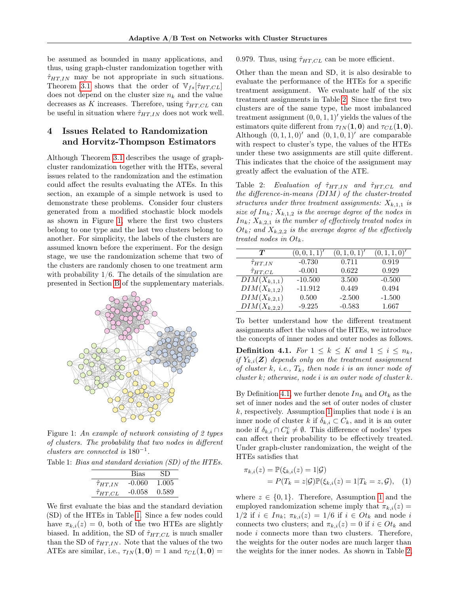be assumed as bounded in many applications, and thus, using graph-cluster randomization together with  $\hat{\tau}_{HT,IN}$  may be not appropriate in such situations. Theorem [3.1](#page-2-3) shows that the order of  $V_{fs}[\hat{\tau}_{HT,CL}]$ does not depend on the cluster size  $n_k$  and the value decreases as K increases. Therefore, using  $\hat{\tau}_{HT,CL}$  can be useful in situation where  $\hat{\tau}_{HT,IN}$  does not work well.

## <span id="page-3-0"></span>4 Issues Related to Randomization and Horvitz-Thompson Estimators

Although Theorem [3.1](#page-2-3) describes the usage of graphcluster randomization together with the HTEs, several issues related to the randomization and the estimation could affect the results evaluating the ATEs. In this section, an example of a simple network is used to demonstrate these problems. Consider four clusters generated from a modified stochastic block models as shown in Figure [1,](#page-3-1) where the first two clusters belong to one type and the last two clusters belong to another. For simplicity, the labels of the clusters are assumed known before the experiment. For the design stage, we use the randomization scheme that two of the clusters are randomly chosen to one treatment arm with probability  $1/6$ . The details of the simulation are presented in Section [B](#page-11-0) of the supplementary materials.

<span id="page-3-1"></span>

Figure 1: An example of network consisting of 2 types of clusters. The probability that two nodes in different clusters are connected is  $180^{-1}$ .

<span id="page-3-2"></span>Table 1: Bias and standard deviation (SD) of the HTEs.

|                      | Bias     | SD    |
|----------------------|----------|-------|
| $\hat{\tau}_{HT,IN}$ | $-0.060$ | 1.005 |
| $\hat\tau_{HT,CL}$   | $-0.058$ | 0.589 |

We first evaluate the bias and the standard deviation (SD) of the HTEs in Table [1.](#page-3-2) Since a few nodes could have  $\pi_{k,i}(z) = 0$ , both of the two HTEs are slightly biased. In addition, the SD of  $\hat{\tau}_{HT,CL}$  is much smaller than the SD of  $\hat{\tau}_{HT,IN}$ . Note that the values of the two ATEs are similar, i.e.,  $\tau_{IN}(1,0) = 1$  and  $\tau_{CL}(1,0) =$ 

0.979. Thus, using  $\hat{\tau}_{HT,CL}$  can be more efficient.

Other than the mean and SD, it is also desirable to evaluate the performance of the HTEs for a specific treatment assignment. We evaluate half of the six treatment assignments in Table [2.](#page-3-3) Since the first two clusters are of the same type, the most imbalanced treatment assignment  $(0, 0, 1, 1)'$  yields the values of the estimators quite different from  $\tau_{IN}(1, 0)$  and  $\tau_{CL}(1, 0)$ . Although  $(0, 1, 1, 0)'$  and  $(0, 1, 0, 1)'$  are comparable with respect to cluster's type, the values of the HTEs under these two assignments are still quite different. This indicates that the choice of the assignment may greatly affect the evaluation of the ATE.

<span id="page-3-3"></span>Table 2: Evaluation of  $\hat{\tau}_{HT,IN}$  and  $\hat{\tau}_{HT,CL}$  and the difference-in-means (DIM) of the cluster-treated structures under three treatment assignments:  $X_{k,1,1}$  is size of  $In_k$ ;  $X_{k,1,2}$  is the average degree of the nodes in  $In_k; X_{k,2,1}$  is the number of effectively treated nodes in  $Ot_k$ ; and  $X_{k,2,2}$  is the average degree of the effectively treated nodes in  $Ot_k$ .

| $\bm{T}$                    | (0,0,1,1)' | (0,1,0,1)' | (0,1,1,0)' |
|-----------------------------|------------|------------|------------|
| $\hat{\tau}_{HT,IN}$        | $-0.730$   | 0.711      | 0.919      |
| $\hat{\tau}_{HT,CL}$        | $-0.001$   | 0.622      | 0.929      |
| $\overline{DIM}(X_{k,1,1})$ | $-10.500$  | 3.500      | $-0.500$   |
| $DIM(X_{k,1,2})$            | $-11.912$  | 0.449      | 0.494      |
| $DIM(X_{k,2,1})$            | 0.500      | $-2.500$   | $-1.500$   |
| $DIM(X_{k,2,2})$            | $-9.225$   | $-0.583$   | 1.667      |

To better understand how the different treatment assignments affect the values of the HTEs, we introduce the concepts of inner nodes and outer nodes as follows.

<span id="page-3-4"></span>**Definition 4.1.** For  $1 \leq k \leq K$  and  $1 \leq i \leq n_k$ , if  $Y_{k,i}(\mathbf{Z})$  depends only on the treatment assignment of cluster k, i.e.,  $T_k$ , then node i is an inner node of cluster  $k$ ; otherwise, node i is an outer node of cluster  $k$ .

By Definition [4.1,](#page-3-4) we further denote  $In_k$  and  $O_t$  as the set of inner nodes and the set of outer nodes of cluster k, respectively. Assumption [1](#page-2-1) implies that node i is an inner node of cluster k if  $\delta_{k,i} \subset C_k$ , and it is an outer node if  $\delta_{k,i} \cap C_k^c \neq \emptyset$ . This difference of nodes' types can affect their probability to be effectively treated. Under graph-cluster randomization, the weight of the HTEs satisfies that

$$
\pi_{k,i}(z) = \mathbb{P}(\xi_{k,i}(z) = 1 | \mathcal{G}) \n= P(T_k = z | \mathcal{G}) \mathbb{P}(\xi_{k,i}(z) = 1 | T_k = z, \mathcal{G}), \quad (1)
$$

where  $z \in \{0,1\}$ . Therefore, Assumption [1](#page-2-1) and the employed randomization scheme imply that  $\pi_{k,i}(z) =$  $1/2$  if  $i \in In_k$ ;  $\pi_{k,i}(z) = 1/6$  if  $i \in O_t$  and node i connects two clusters; and  $\pi_{k,i}(z) = 0$  if  $i \in O_t$  and node  $i$  connects more than two clusters. Therefore, the weights for the outer nodes are much larger than the weights for the inner nodes. As shown in Table [2,](#page-3-3)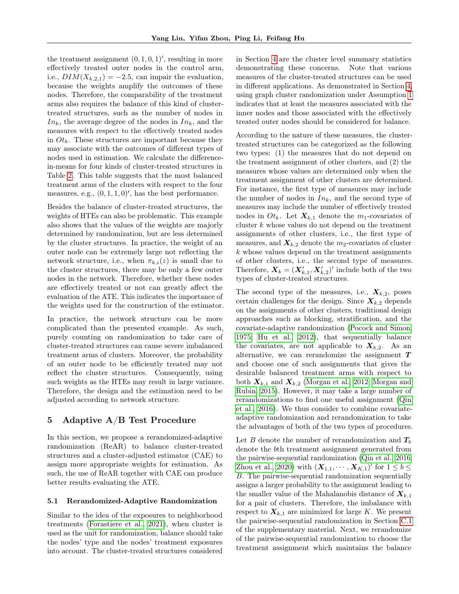the treatment assignment  $(0, 1, 0, 1)'$ , resulting in more effectively treated outer nodes in the control arm, i.e.,  $DIM(X_{k,2,1}) = -2.5$ , can impair the evaluation, because the weights amplify the outcomes of these nodes. Therefore, the comparability of the treatment arms also requires the balance of this kind of clustertreated structures, such as the number of nodes in  $In_k$ , the average degree of the nodes in  $In_k$ , and the measures with respect to the effectively treated nodes in  $O_t$ . These structures are important because they may associate with the outcomes of different types of nodes used in estimation. We calculate the differencein-means for four kinds of cluster-treated structures in Table [2.](#page-3-3) This table suggests that the most balanced treatment arms of the clusters with respect to the four measures, e.g.,  $(0, 1, 1, 0)$ ', has the best performance.

Besides the balance of cluster-treated structures, the weights of HTEs can also be problematic. This example also shows that the values of the weights are majorly determined by randomization, but are less determined by the cluster structures. In practice, the weight of an outer node can be extremely large not reflecting the network structure, i.e., when  $\pi_{k,i}(z)$  is small due to the cluster structures, there may be only a few outer nodes in the network. Therefore, whether these nodes are effectively treated or not can greatly affect the evaluation of the ATE. This indicates the importance of the weights used for the construction of the estimator.

In practice, the network structure can be more complicated than the presented example. As such, purely counting on randomization to take care of cluster-treated structures can cause severe imbalanced treatment arms of clusters. Moreover, the probability of an outer node to be efficiently treated may not reflect the cluster structures. Consequently, using such weights as the HTEs may result in large variance. Therefore, the design and the estimation need to be adjusted according to network structure.

## <span id="page-4-0"></span>5 Adaptive A/B Test Procedure

In this section, we propose a rerandomized-adaptive randomization (ReAR) to balance cluster-treated structures and a cluster-adjusted estimator (CAE) to assign more appropriate weights for estimation. As such, the use of ReAR together with CAE can produce better results evaluating the ATE.

#### <span id="page-4-1"></span>5.1 Rerandomized-Adaptive Randomization

Similar to the idea of the exposures to neighborhood treatments [\(Forastiere et al., 2021\)](#page-8-6), when cluster is used as the unit for randomization, balance should take the nodes' type and the nodes' treatment exposures into account. The cluster-treated structures considered in Section [4](#page-3-0) are the cluster level summary statistics demonstrating these concerns. Note that various measures of the cluster-treated structures can be used in different applications. As demonstrated in Section [4,](#page-3-0) using graph cluster randomization under Assumption [1](#page-2-1) indicates that at least the measures associated with the inner nodes and those associated with the effectively treated outer nodes should be considered for balance.

According to the nature of these measures, the clustertreated structures can be categorized as the following two types: (1) the measures that do not depend on the treatment assignment of other clusters, and (2) the measures whose values are determined only when the treatment assignment of other clusters are determined. For instance, the first type of measures may include the number of nodes in  $In_k$ , and the second type of measures may include the number of effectively treated nodes in  $O_t$ . Let  $X_{k,1}$  denote the  $m_1$ -covariates of cluster k whose values do not depend on the treatment assignments of other clusters, i.e., the first type of measures, and  $X_{k,2}$  denote the  $m_2$ -covariates of cluster k whose values depend on the treatment assignments of other clusters, i.e., the second type of measures. Therefore,  $\mathbf{X}_k = (\mathbf{X}_{k,1}^\prime, \mathbf{X}_{k,2}^\prime)^\prime$  include both of the two types of cluster-treated structures.

The second type of the measures, i.e.,  $X_{k,2}$ , poses certain challenges for the design. Since  $X_{k,2}$  depends on the assignments of other clusters, traditional design approaches such as blocking, stratification, and the covariate-adaptive randomization [\(Pocock and Simon,](#page-9-5) [1975;](#page-9-5) [Hu et al., 2012\)](#page-8-9), that sequentially balance the covariates, are not applicable to  $X_{k,2}$ . As an alternative, we can rerandomize the assignment  $T$ and choose one of such assignments that gives the desirable balanced treatment arms with respect to both  $X_{k,1}$  and  $X_{k,2}$  [\(Morgan et al., 2012;](#page-9-6) [Morgan and](#page-9-7) [Rubin, 2015\)](#page-9-7). However, it may take a large number of rerandomizations to find one useful assignment [\(Qin](#page-9-4) [et al., 2016\)](#page-9-4). We thus consider to combine covariateadaptive randomization and rerandomization to take the advantages of both of the two types of procedures.

Let B denote the number of rerandomization and  $T_b$ denote the bth treatment assignment generated from the pairwise-sequential randomization [\(Qin et al., 2016;](#page-9-4) [Zhou et al., 2020\)](#page-9-8) with  $(\mathbf{X}_{1,1}, \cdots, \mathbf{X}_{K,1})'$  for  $1 \leq b \leq$ B. The pairwise-sequential randomization sequentially assigns a larger probability to the assignment leading to the smaller value of the Mahalanobis distance of  $X_{k,1}$ for a pair of clusters. Therefore, the imbalance with respect to  $X_{k,1}$  are minimized for large K. We present the pairwise-sequential randomization in Section [C.1](#page-12-0) of the supplementary material. Next, we rerandomize of the pairwise-sequential randomization to choose the treatment assignment which maintains the balance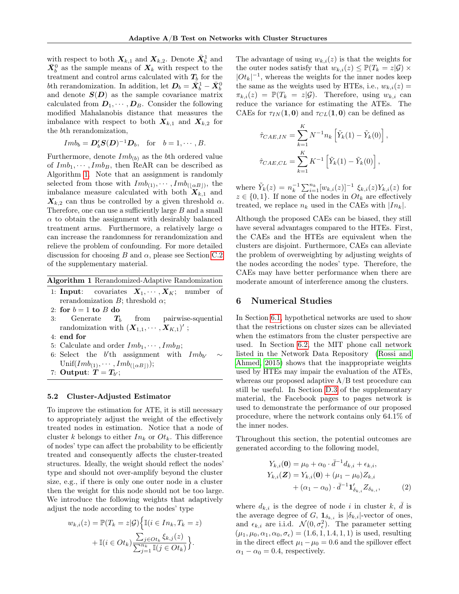with respect to both  $X_{k,1}$  and  $X_{k,2}$ . Denote  $\bar{X}_{b}^{1}$  and  $\bar{X}_{b}^{0}$  as the sample means of  $X_{k}$  with respect to the treatment and control arms calculated with  $T_b$  for the bth rerandomization. In addition, let  $\mathbf{D}_b = \bar{\mathbf{X}}_b^1 - \bar{\mathbf{X}}_b^0$ and denote  $S(D)$  as the sample covariance matrix calculated from  $D_1, \cdots, D_B$ . Consider the following modified Mahalanobis distance that measures the imbalance with respect to both  $X_{k,1}$  and  $X_{k,2}$  for the bth rerandomization,

$$
Im b_b = \mathbf{D}'_b \mathbf{S}(\mathbf{D})^{-1} \mathbf{D}_b
$$
, for  $b = 1, \dots, B$ .

Furthermore, denote  $Im b_{(b)}$  as the bth ordered value of  $Imb_1, \dots, Imb_B$ , then ReAR can be described as Algorithm [1.](#page-5-1) Note that an assignment is randomly selected from those with  $Imb_{(1)}, \cdots, Imb_{(\lfloor \alpha B \rfloor)},$  the imbalance measure calculated with both  $X_{k,1}$  and  $X_{k,2}$  can thus be controlled by a given threshold  $\alpha$ . Therefore, one can use a sufficiently large  $B$  and a small  $\alpha$  to obtain the assignment with desirably balanced treatment arms. Furthermore, a relatively large  $\alpha$ can increase the randomness for rerandomization and relieve the problem of confounding. For more detailed discussion for choosing  $B$  and  $\alpha$ , please see Section [C.2](#page-13-0) of the supplementary material.

<span id="page-5-1"></span>Algorithm 1 Rerandomized-Adaptive Randomization

1: **Input:** covariates  $X_1, \dots, X_K$ ; number of rerandomization  $B$ ; threshold  $\alpha$ ;

- 3: Generate  $T_b$  from pairwise-squential randomization with  $(\boldsymbol{X}_{1,1},\cdots,\boldsymbol{X}_{K,1})'$ ;
- 4: end for
- 5: Calculate and order  $Imb_1, \cdots, Imb_B;$
- 6: Select the  $b'$ th assignment with  $Im b_b$  $\sim$  $\text{Unif}(Imb_{(1)}, \cdots, Imb_{(\lfloor \alpha B \rfloor)});$
- 7: Output:  $T=T_{b'};$

### <span id="page-5-2"></span>5.2 Cluster-Adjusted Estimator

To improve the estimation for ATE, it is still necessary to appropriately adjust the weight of the effectively treated nodes in estimation. Notice that a node of cluster k belongs to either  $In_k$  or  $O_t$ . This difference of nodes' type can affect the probability to be efficiently treated and consequently affects the cluster-treated structures. Ideally, the weight should reflect the nodes' type and should not over-amplify beyond the cluster size, e.g., if there is only one outer node in a cluster then the weight for this node should not be too large. We introduce the following weights that adaptively adjust the node according to the nodes' type

$$
w_{k,i}(z) = \mathbb{P}(T_k = z | \mathcal{G}) \Big\{ \mathbb{I}(i \in In_k, T_k = z) + \mathbb{I}(i \in Ot_k) \frac{\sum_{j \in Ot_k} \xi_{k,j}(z)}{\sum_{j=1}^{n_k} \mathbb{I}(j \in Ot_k)} \Big\}.
$$

The advantage of using  $w_{k,i}(z)$  is that the weights for the outer nodes satisfy that  $w_{k,i}(z) \leq \mathbb{P}(T_k = z | \mathcal{G}) \times$  $|O_t|^{-1}$ , whereas the weights for the inner nodes keep the same as the weights used by HTEs, i.e.,  $w_{k,i}(z) =$  $\pi_{k,i}(z) = \mathbb{P}(T_k = z | \mathcal{G})$ . Therefore, using  $w_{k,i}$  can reduce the variance for estimating the ATEs. The CAEs for  $\tau_{IN}(1,0)$  and  $\tau_{CL}(1,0)$  can be defined as

$$
\hat{\tau}_{CAE,IN} = \sum_{k=1}^{K} N^{-1} n_k \left[ \tilde{Y}_k(1) - \tilde{Y}_k(0) \right]
$$

$$
\hat{\tau}_{CAE,CL} = \sum_{k=1}^{K} K^{-1} \left[ \tilde{Y}_k(1) - \tilde{Y}_k(0) \right],
$$

,

where  $\tilde{Y}_k(z) = n_k^{-1} \sum_{i=1}^{n_k} [w_{k,i}(z)]^{-1} \xi_{k,i}(z) Y_{k,i}(z)$  for  $z \in \{0,1\}$ . If none of the nodes in  $O_t$  are effectively treated, we replace  $n_k$  used in the CAEs with  $|In_k|$ .

Although the proposed CAEs can be biased, they still have several advantages compared to the HTEs. First, the CAEs and the HTEs are equivalent when the clusters are disjoint. Furthermore, CAEs can alleviate the problem of overweighting by adjusting weights of the nodes according the nodes' type. Therefore, the CAEs may have better performance when there are moderate amount of interference among the clusters.

### <span id="page-5-0"></span>6 Numerical Studies

In Section [6.1,](#page-6-0) hypothetical networks are used to show that the restrictions on cluster sizes can be alleviated when the estimators from the cluster perspective are used. In Section [6.2,](#page-7-1) the MIT phone call network listed in the Network Data Repository [\(Rossi and](#page-9-9) [Ahmed, 2015\)](#page-9-9) shows that the inappropriate weights used by HTEs may impair the evaluation of the ATEs, whereas our proposed adaptive  $A/B$  test procedure can still be useful. In Section [D.3](#page-14-0) of the supplementary material, the Facebook pages to pages network is used to demonstrate the performance of our proposed procedure, where the network contains only 64.1% of the inner nodes.

Throughout this section, the potential outcomes are generated according to the following model,

<span id="page-5-3"></span>
$$
Y_{k,i}(\mathbf{0}) = \mu_0 + \alpha_0 \cdot \bar{d}^{-1} d_{k,i} + \epsilon_{k,i},
$$
  
\n
$$
Y_{k,i}(\mathbf{Z}) = Y_{k,i}(\mathbf{0}) + (\mu_1 - \mu_0) Z_{k,i} + (\alpha_1 - \alpha_0) \cdot \bar{d}^{-1} \mathbf{1}'_{\delta_{k,i}} Z_{\delta_{k,i}},
$$
\n(2)

where  $d_{k,i}$  is the degree of node i in cluster  $k, \bar{d}$  is the average degree of G,  $\mathbf{1}_{\delta_{k,i}}$  is  $|\delta_{k,i}|$ -vector of ones, and  $\epsilon_{k,i}$  are i.i.d.  $\mathcal{N}(0, \sigma_{\epsilon}^2)$ . The parameter setting  $(\mu_1, \mu_0, \alpha_1, \alpha_0, \sigma_{\epsilon}) = (1.6, 1, 1.4, 1, 1)$  is used, resulting in the direct effect  $\mu_1 - \mu_0 = 0.6$  and the spillover effect  $\alpha_1 - \alpha_0 = 0.4$ , respectively.

<sup>2:</sup> for  $b = 1$  to  $B$  do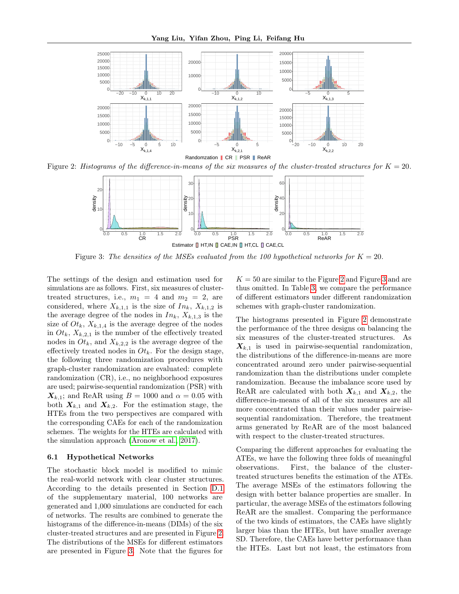<span id="page-6-1"></span>

<span id="page-6-2"></span>Figure 2: Histograms of the difference-in-means of the six measures of the cluster-treated structures for  $K = 20$ .



Figure 3: The densities of the MSEs evaluated from the 100 hypothetical networks for  $K = 20$ .

The settings of the design and estimation used for simulations are as follows. First, six measures of clustertreated structures, i.e.,  $m_1 = 4$  and  $m_2 = 2$ , are considered, where  $X_{k,1,1}$  is the size of  $In_k$ ,  $X_{k,1,2}$  is the average degree of the nodes in  $In_k$ ,  $X_{k,1,3}$  is the size of  $Ot_k$ ,  $X_{k,1,4}$  is the average degree of the nodes in  $Ot_k$ ,  $X_{k,2,1}$  is the number of the effectively treated nodes in  $O_t$ , and  $X_{k,2,2}$  is the average degree of the effectively treated nodes in  $O_t$ . For the design stage, the following three randomization procedures with graph-cluster randomization are evaluated: complete randomization (CR), i.e., no neighborhood exposures are used; pairwise-sequential randomization (PSR) with  $X_{k,1}$ ; and ReAR using  $B = 1000$  and  $\alpha = 0.05$  with both  $X_{k,1}$  and  $X_{k,2}$ . For the estimation stage, the HTEs from the two perspectives are compared with the corresponding CAEs for each of the randomization schemes. The weights for the HTEs are calculated with the simulation approach [\(Aronow et al., 2017\)](#page-8-7).

#### <span id="page-6-0"></span>6.1 Hypothetical Networks

The stochastic block model is modified to mimic the real-world network with clear cluster structures. According to the details presented in Section [D.1](#page-13-1) of the supplementary material, 100 networks are generated and 1,000 simulations are conducted for each of networks. The results are combined to generate the histograms of the difference-in-means (DIMs) of the six cluster-treated structures and are presented in Figure [2.](#page-6-1) The distributions of the MSEs for different estimators are presented in Figure [3.](#page-6-2) Note that the figures for

 $K = 50$  are similar to the Figure [2](#page-6-1) and Figure [3](#page-6-2) and are thus omitted. In Table [3,](#page-7-2) we compare the performance of different estimators under different randomization schemes with graph-cluster randomization.

The histograms presented in Figure [2](#page-6-1) demonstrate the performance of the three designs on balancing the six measures of the cluster-treated structures. As  $X_{k,1}$  is used in pairwise-sequential randomization, the distributions of the difference-in-means are more concentrated around zero under pairwise-sequential randomization than the distributions under complete randomization. Because the imbalance score used by ReAR are calculated with both  $X_{k,1}$  and  $X_{k,2}$ , the difference-in-means of all of the six measures are all more concentrated than their values under pairwisesequential randomization. Therefore, the treatment arms generated by ReAR are of the most balanced with respect to the cluster-treated structures.

Comparing the different approaches for evaluating the ATEs, we have the following three folds of meaningful observations. First, the balance of the clustertreated structures benefits the estimation of the ATEs. The average MSEs of the estimators following the design with better balance properties are smaller. In particular, the average MSEs of the estimators following ReAR are the smallest. Comparing the performance of the two kinds of estimators, the CAEs have slightly larger bias than the HTEs, but have smaller average SD. Therefore, the CAEs have better performance than the HTEs. Last but not least, the estimators from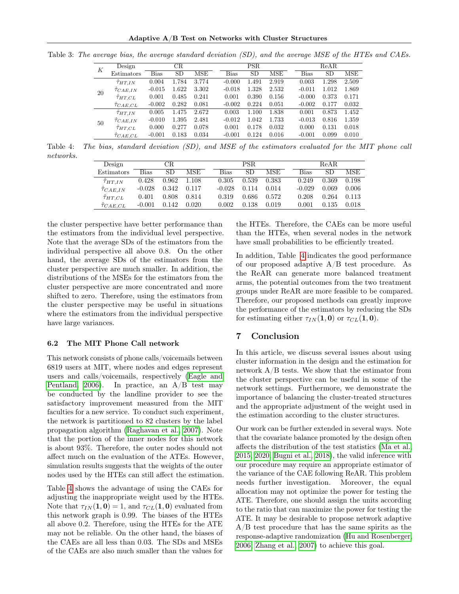Adaptive A/B Test on Networks with Cluster Structures

<span id="page-7-2"></span>Table 3: The average bias, the average standard deviation (SD), and the average MSE of the HTEs and CAEs.

| К  | Design                  |          | CR    |            |          | <b>PSR</b> |       | ReAR        |           |       |  |
|----|-------------------------|----------|-------|------------|----------|------------|-------|-------------|-----------|-------|--|
|    | Estimators              | Bias     | SD    | <b>MSE</b> | Bias     | <b>SD</b>  | MSE   | <b>Bias</b> | <b>SD</b> | MSE   |  |
|    | $\hat{\tau}_{HT,IN}$    | 0.004    | 1.784 | 3.774      | $-0.000$ | 1.491      | 2.919 | 0.003       | 1.298     | 2.509 |  |
| 20 | $\tilde{\tau}_{CAE,IN}$ | $-0.015$ | 1.622 | 3.302      | $-0.018$ | 1.328      | 2.532 | $-0.011$    | 1.012     | 1.869 |  |
|    | $\hat{\tau}_{HT,CL}$    | 0.001    | 0.485 | 0.241      | 0.001    | 0.390      | 0.156 | $-0.000$    | 0.373     | 0.171 |  |
|    | $\tau_{CAE,CL}$         | $-0.002$ | 0.282 | 0.081      | $-0.002$ | 0.224      | 0.051 | $-0.002$    | 0.177     | 0.032 |  |
|    | $\tau_{HT,IN}$          | 0.005    | 1.475 | 2.672      | 0.003    | 1.100      | 1.838 | 0.001       | 0.873     | 1.452 |  |
| 50 | $\tilde{\tau}_{CAE,IN}$ | $-0.010$ | 1.395 | 2.481      | $-0.012$ | 1.042      | 1.733 | $-0.013$    | 0.816     | 1.359 |  |
|    | $\hat{\tau}_{HT,CL}$    | 0.000    | 0.277 | 0.078      | 0.001    | 0.178      | 0.032 | 0.000       | 0.131     | 0.018 |  |
|    | $\hat{\tau}_{CAE,CL}$   | $-0.001$ | 0.183 | 0.034      | $-0.001$ | 0.124      | 0.016 | $-0.001$    | 0.099     | 0.010 |  |

<span id="page-7-3"></span>Table 4: The bias, standard deviation (SD), and MSE of the estimators evaluated for the MIT phone call networks.

| Design                |          | CR    |       |          | PSR.  |       |             | ReAR. |       |
|-----------------------|----------|-------|-------|----------|-------|-------|-------------|-------|-------|
| Estimators            | Bias     | SD.   | MSE   | Bias     | SD.   | MSE   | <b>Bias</b> | SD.   | MSE   |
| $\tau_{HT,IN}$        | 0.428    | 0.962 | 1.108 | 0.305    | 0.539 | 0.383 | 0.249       | 0.369 | 0.198 |
| $\hat{\tau}_{CAE,IN}$ | $-0.028$ | 0.342 | 0.117 | $-0.028$ | 0.114 | 0.014 | $-0.029$    | 0.069 | 0.006 |
| $\hat\tau_{HT,CL}$    | 0.401    | 0.808 | 0.814 | 0.319    | 0.686 | 0.572 | 0.208       | 0.264 | 0.113 |
| $\hat{\tau}_{CAE,CL}$ | $-0.001$ | 0.142 | 0.020 | 0.002    | 0.138 | 0.019 | 0.001       | 0.135 | 0.018 |

the cluster perspective have better performance than the estimators from the individual level perspective. Note that the average SDs of the estimators from the individual perspective all above 0.8. On the other hand, the average SDs of the estimators from the cluster perspective are much smaller. In addition, the distributions of the MSEs for the estimators from the cluster perspective are more concentrated and more shifted to zero. Therefore, using the estimators from the cluster perspective may be useful in situations where the estimators from the individual perspective have large variances.

#### <span id="page-7-1"></span>6.2 The MIT Phone Call network

This network consists of phone calls/voicemails between 6819 users at MIT, where nodes and edges represent users and calls/voicemails, respectively [\(Eagle and](#page-8-10) [Pentland, 2006\)](#page-8-10). In practice, an  $A/B$  test may be conducted by the landline provider to see the satisfactory improvement measured from the MIT faculties for a new service. To conduct such experiment, the network is partitioned to 82 clusters by the label propagation algorithm [\(Raghavan et al., 2007\)](#page-9-10). Note that the portion of the inner nodes for this network is about 93%. Therefore, the outer nodes should not affect much on the evaluation of the ATEs. However, simulation results suggests that the weights of the outer nodes used by the HTEs can still affect the estimation.

Table [4](#page-7-3) shows the advantage of using the CAEs for adjusting the inappropriate weight used by the HTEs. Note that  $\tau_{IN}(1, 0) = 1$ , and  $\tau_{CL}(1, 0)$  evaluated from this network graph is 0.99. The biases of the HTEs all above 0.2. Therefore, using the HTEs for the ATE may not be reliable. On the other hand, the biases of the CAEs are all less than 0.03. The SDs and MSEs of the CAEs are also much smaller than the values for the HTEs. Therefore, the CAEs can be more useful than the HTEs, when several nodes in the network have small probabilities to be efficiently treated.

In addition, Table [4](#page-7-3) indicates the good performance of our proposed adaptive A/B test procedure. As the ReAR can generate more balanced treatment arms, the potential outcomes from the two treatment groups under ReAR are more feasible to be compared. Therefore, our proposed methods can greatly improve the performance of the estimators by reducing the SDs for estimating either  $\tau_{IN}(1,0)$  or  $\tau_{CL}(1,0)$ .

### <span id="page-7-0"></span>7 Conclusion

In this article, we discuss several issues about using cluster information in the design and the estimation for network A/B tests. We show that the estimator from the cluster perspective can be useful in some of the network settings. Furthermore, we demonstrate the importance of balancing the cluster-treated structures and the appropriate adjustment of the weight used in the estimation according to the cluster structures.

Our work can be further extended in several ways. Note that the covariate balance promoted by the design often affects the distribution of the test statistics [\(Ma et al.,](#page-9-11) [2015,](#page-9-11) [2020;](#page-9-12) [Bugni et al., 2018\)](#page-8-11), the valid inference with our procedure may require an appropriate estimator of the variance of the CAE following ReAR. This problem needs further investigation. Moreover, the equal allocation may not optimize the power for testing the ATE. Therefore, one should assign the units according to the ratio that can maximize the power for testing the ATE. It may be desirable to propose network adaptive A/B test procedure that has the same spirits as the response-adaptive randomization [\(Hu and Rosenberger,](#page-8-12) [2006;](#page-8-12) [Zhang et al., 2007\)](#page-9-13) to achieve this goal.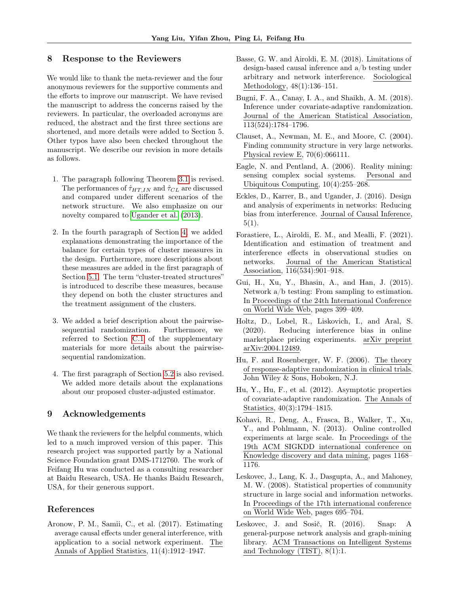### 8 Response to the Reviewers

We would like to thank the meta-reviewer and the four anonymous reviewers for the supportive comments and the efforts to improve our manuscript. We have revised the manuscript to address the concerns raised by the reviewers. In particular, the overloaded acronyms are reduced, the abstract and the first three sections are shortened, and more details were added to Section 5. Other typos have also been checked throughout the manuscript. We describe our revision in more details as follows.

- 1. The paragraph following Theorem [3.1](#page-2-3) is revised. The performances of  $\hat{\tau}_{HT,IN}$  and  $\hat{\tau}_{CL}$  are discussed and compared under different scenarios of the network structure. We also emphasize on our novelty compared to [Ugander et al.](#page-9-0) [\(2013\)](#page-9-0).
- 2. In the fourth paragraph of Section [4,](#page-3-0) we added explanations demonstrating the importance of the balance for certain types of cluster measures in the design. Furthermore, more descriptions about these measures are added in the first paragraph of Section [5.1.](#page-4-1) The term "cluster-treated structures" is introduced to describe these measures, because they depend on both the cluster structures and the treatment assignment of the clusters.
- 3. We added a brief description about the pairwisesequential randomization. Furthermore, we referred to Section [C.1](#page-12-0) of the supplementary materials for more details about the pairwisesequential randomization.
- 4. The first paragraph of Section [5.2](#page-5-2) is also revised. We added more details about the explanations about our proposed cluster-adjusted estimator.

### 9 Acknowledgements

We thank the reviewers for the helpful comments, which led to a much improved version of this paper. This research project was supported partly by a National Science Foundation grant DMS-1712760. The work of Feifang Hu was conducted as a consulting researcher at Baidu Research, USA. He thanks Baidu Research, USA, for their generous support.

### References

<span id="page-8-7"></span>Aronow, P. M., Samii, C., et al. (2017). Estimating average causal effects under general interference, with application to a social network experiment. The Annals of Applied Statistics, 11(4):1912–1947.

- <span id="page-8-8"></span>Basse, G. W. and Airoldi, E. M. (2018). Limitations of design-based causal inference and a/b testing under arbitrary and network interference. Sociological Methodology, 48(1):136–151.
- <span id="page-8-11"></span>Bugni, F. A., Canay, I. A., and Shaikh, A. M. (2018). Inference under covariate-adaptive randomization. Journal of the American Statistical Association, 113(524):1784–1796.
- <span id="page-8-5"></span>Clauset, A., Newman, M. E., and Moore, C. (2004). Finding community structure in very large networks. Physical review E, 70(6):066111.
- <span id="page-8-10"></span>Eagle, N. and Pentland, A. (2006). Reality mining: sensing complex social systems. Personal and Ubiquitous Computing, 10(4):255–268.
- <span id="page-8-3"></span>Eckles, D., Karrer, B., and Ugander, J. (2016). Design and analysis of experiments in networks: Reducing bias from interference. Journal of Causal Inference,  $5(1).$
- <span id="page-8-6"></span>Forastiere, L., Airoldi, E. M., and Mealli, F. (2021). Identification and estimation of treatment and interference effects in observational studies on networks. Journal of the American Statistical Association, 116(534):901–918.
- <span id="page-8-1"></span>Gui, H., Xu, Y., Bhasin, A., and Han, J. (2015). Network a/b testing: From sampling to estimation. In Proceedings of the 24th International Conference on World Wide Web, pages 399–409.
- <span id="page-8-2"></span>Holtz, D., Lobel, R., Liskovich, I., and Aral, S. (2020). Reducing interference bias in online marketplace pricing experiments. arXiv preprint arXiv:2004.12489.
- <span id="page-8-12"></span>Hu, F. and Rosenberger, W. F. (2006). The theory of response-adaptive randomization in clinical trials. John Wiley & Sons, Hoboken, N.J.
- <span id="page-8-9"></span>Hu, Y., Hu, F., et al. (2012). Asymptotic properties of covariate-adaptive randomization. The Annals of Statistics, 40(3):1794–1815.
- <span id="page-8-0"></span>Kohavi, R., Deng, A., Frasca, B., Walker, T., Xu, Y., and Pohlmann, N. (2013). Online controlled experiments at large scale. In Proceedings of the 19th ACM SIGKDD international conference on Knowledge discovery and data mining, pages 1168– 1176.
- <span id="page-8-4"></span>Leskovec, J., Lang, K. J., Dasgupta, A., and Mahoney, M. W. (2008). Statistical properties of community structure in large social and information networks. In Proceedings of the 17th international conference on World Wide Web, pages 695–704.
- <span id="page-8-13"></span>Leskovec, J. and Sosič, R. (2016). Snap: A general-purpose network analysis and graph-mining library. ACM Transactions on Intelligent Systems and Technology (TIST), 8(1):1.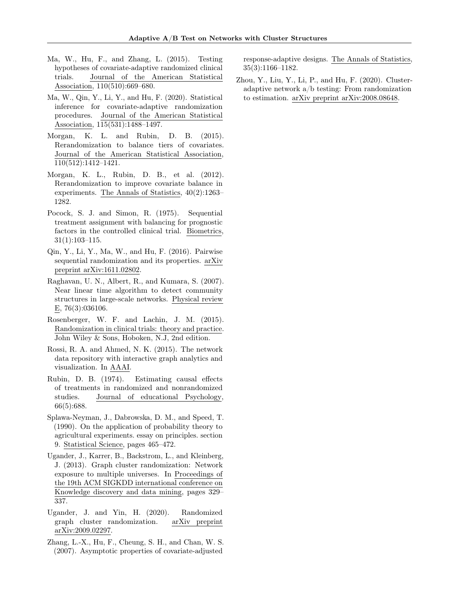- <span id="page-9-11"></span>Ma, W., Hu, F., and Zhang, L. (2015). Testing hypotheses of covariate-adaptive randomized clinical trials. Journal of the American Statistical Association, 110(510):669–680.
- <span id="page-9-12"></span>Ma, W., Qin, Y., Li, Y., and Hu, F. (2020). Statistical inference for covariate-adaptive randomization procedures. Journal of the American Statistical Association, 115(531):1488–1497.
- <span id="page-9-7"></span>Morgan, K. L. and Rubin, D. B. (2015). Rerandomization to balance tiers of covariates. Journal of the American Statistical Association, 110(512):1412–1421.
- <span id="page-9-6"></span>Morgan, K. L., Rubin, D. B., et al. (2012). Rerandomization to improve covariate balance in experiments. The Annals of Statistics, 40(2):1263– 1282.
- <span id="page-9-5"></span>Pocock, S. J. and Simon, R. (1975). Sequential treatment assignment with balancing for prognostic factors in the controlled clinical trial. Biometrics, 31(1):103–115.
- <span id="page-9-4"></span>Qin, Y., Li, Y., Ma, W., and Hu, F. (2016). Pairwise sequential randomization and its properties. arXiv preprint arXiv:1611.02802.
- <span id="page-9-10"></span>Raghavan, U. N., Albert, R., and Kumara, S. (2007). Near linear time algorithm to detect community structures in large-scale networks. Physical review E, 76(3):036106.
- <span id="page-9-14"></span>Rosenberger, W. F. and Lachin, J. M. (2015). Randomization in clinical trials: theory and practice. John Wiley & Sons, Hoboken, N.J, 2nd edition.
- <span id="page-9-9"></span>Rossi, R. A. and Ahmed, N. K. (2015). The network data repository with interactive graph analytics and visualization. In AAAI.
- <span id="page-9-2"></span>Rubin, D. B. (1974). Estimating causal effects of treatments in randomized and nonrandomized studies. Journal of educational Psychology, 66(5):688.
- <span id="page-9-3"></span>Splawa-Neyman, J., Dabrowska, D. M., and Speed, T. (1990). On the application of probability theory to agricultural experiments. essay on principles. section 9. Statistical Science, pages 465–472.
- <span id="page-9-0"></span>Ugander, J., Karrer, B., Backstrom, L., and Kleinberg, J. (2013). Graph cluster randomization: Network exposure to multiple universes. In Proceedings of the 19th ACM SIGKDD international conference on Knowledge discovery and data mining, pages 329– 337.
- <span id="page-9-1"></span>Ugander, J. and Yin, H. (2020). Randomized graph cluster randomization. arXiv preprint arXiv:2009.02297.
- <span id="page-9-13"></span>Zhang, L.-X., Hu, F., Cheung, S. H., and Chan, W. S. (2007). Asymptotic properties of covariate-adjusted

response-adaptive designs. The Annals of Statistics, 35(3):1166–1182.

<span id="page-9-8"></span>Zhou, Y., Liu, Y., Li, P., and Hu, F. (2020). Clusteradaptive network a/b testing: From randomization to estimation. arXiv preprint arXiv:2008.08648.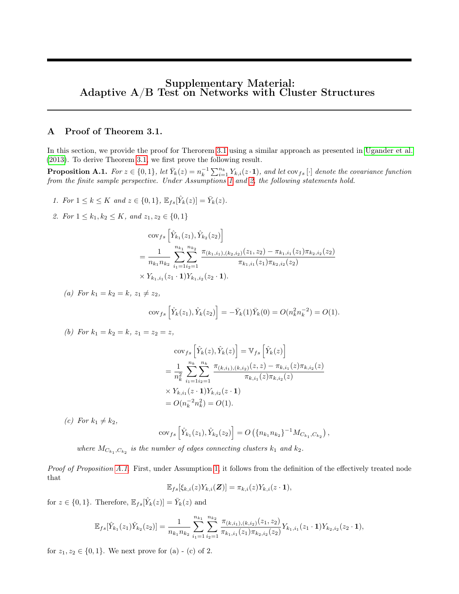# Supplementary Material: Adaptive  $A/B$  Test on Networks with Cluster Structures

## A Proof of Theorem 3.1.

In this section, we provide the proof for Therorem [3.1](#page-2-3) using a similar approach as presented in [Ugander et al.](#page-9-0) [\(2013\)](#page-9-0). To derive Theorem [3.1,](#page-2-3) we first prove the following result.

<span id="page-10-0"></span>**Proposition A.1.** For  $z \in \{0,1\}$ , let  $\bar{Y}_k(z) = n_k^{-1} \sum_{i=1}^{n_k} Y_{k,i}(z \cdot \mathbf{1})$ , and let  $\text{cov}_{fs}[\cdot]$  denote the covariance function from the finite sample perspective. Under Assumptions [1](#page-2-1) and [2,](#page-2-2) the following statements hold.

- 1. For  $1 \le k \le K$  and  $z \in \{0,1\}$ ,  $\mathbb{E}_{fs}[\hat{Y}_k(z)] = \bar{Y}_k(z)$ .
- 2. For  $1 \leq k_1, k_2 \leq K$ , and  $z_1, z_2 \in \{0, 1\}$

$$
\begin{split} &\text{cov}_{fs}\left[\hat{Y}_{k_1}(z_1), \hat{Y}_{k_2}(z_2)\right] \\ & = \frac{1}{n_{k_1}n_{k_2}} \sum_{i_1=1}^{n_{k_1}} \sum_{i_2=1}^{n_{k_2}} \frac{\pi_{(k_1,i_1),(k_2,i_2)}(z_1,z_2) - \pi_{k_1,i_1}(z_1)\pi_{k_2,i_2}(z_2)}{\pi_{k_1,i_1}(z_1)\pi_{k_2,i_2}(z_2)} \\ & \times Y_{k_1,i_1}(z_1 \cdot \mathbf{1})Y_{k_1,i_2}(z_2 \cdot \mathbf{1}). \end{split}
$$

(a) For 
$$
k_1 = k_2 = k
$$
,  $z_1 \neq z_2$ ,  
\n
$$
\text{cov}_{fs} \left[ \hat{Y}_k(z_1), \hat{Y}_k(z_2) \right] = -\bar{Y}_k(1) \bar{Y}_k(0) = O(n_k^2 n_k^{-2}) = O(1).
$$

(b) For 
$$
k_1 = k_2 = k
$$
,  $z_1 = z_2 = z$ ,

$$
\begin{split} &\text{cov}_{fs}\left[\hat{Y}_k(z), \hat{Y}_k(z)\right] = \mathbb{V}_{fs}\left[\hat{Y}_k(z)\right] \\ & = \frac{1}{n_k^2} \sum_{i_1=1}^{n_k} \sum_{i_2=1}^{n_k} \frac{\pi_{(k,i_1),(k,i_2)}(z,z) - \pi_{k,i_1}(z)\pi_{k,i_2}(z)}{\pi_{k,i_1}(z)\pi_{k,i_2}(z)} \\ & \times Y_{k,i_1}(z \cdot 1)Y_{k,i_2}(z \cdot 1) \\ & = O(n_k^{-2}n_k^2) = O(1). \end{split}
$$

(c) For  $k_1 \neq k_2$ ,

$$
cov_{fs}\left[\hat{Y}_{k_1}(z_1), \hat{Y}_{k_2}(z_2)\right] = O\left(\{n_{k_1}n_{k_2}\}^{-1}M_{C_{k_1}, C_{k_2}}\right),\,
$$

where  $M_{C_{k_1}, C_{k_2}}$  is the number of edges connecting clusters  $k_1$  and  $k_2$ .

Proof of Proposition [A.1.](#page-10-0) First, under Assumption [1](#page-2-1), it follows from the definition of the effectively treated node that

$$
\mathbb{E}_{fs}[\xi_{k,i}(z)Y_{k,i}(\boldsymbol{Z})] = \pi_{k,i}(z)Y_{k,i}(z\cdot\mathbf{1}),
$$

for  $z \in \{0, 1\}$ . Therefore,  $\mathbb{E}_{fs}[\hat{Y}_k(z)] = \bar{Y}_k(z)$  and

$$
\mathbb{E}_{fs}[\hat{Y}_{k_1}(z_1)\hat{Y}_{k_2}(z_2)] = \frac{1}{n_{k_1}n_{k_2}} \sum_{i_1=1}^{n_{k_1}} \sum_{i_2=1}^{n_{k_2}} \frac{\pi_{(k,i_1),(k,i_2)}(z_1,z_2)}{\pi_{k_1,i_1}(z_1)\pi_{k_2,i_2}(z_2)} Y_{k_1,i_1}(z_1 \cdot \mathbf{1}) Y_{k_2,i_2}(z_2 \cdot \mathbf{1}),
$$

for  $z_1, z_2 \in \{0, 1\}$ . We next prove for (a) - (c) of 2.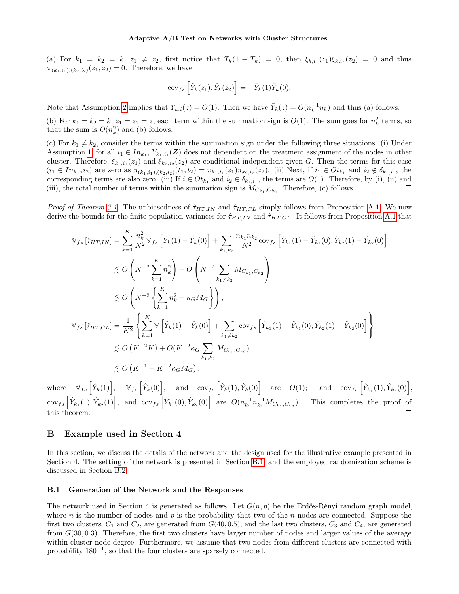(a) For  $k_1 = k_2 = k, z_1 \neq z_2$ , first notice that  $T_k(1 - T_k) = 0$ , then  $\xi_{k,i_1}(z_1)\xi_{k,i_2}(z_2) = 0$  and thus  $\pi_{(k_1,i_1),(k_2,i_2)}(z_1,z_2)=0$ . Therefore, we have

$$
\text{cov}_{fs}\left[\hat{Y}_k(z_1), \hat{Y}_k(z_2)\right] = -\bar{Y}_k(1)\bar{Y}_k(0).
$$

Note that Assumption [2](#page-2-2) implies that  $Y_{k,i}(z) = O(1)$ . Then we have  $\bar{Y}_k(z) = O(n_k^{-1}n_k)$  and thus (a) follows.

(b) For  $k_1 = k_2 = k$ ,  $z_1 = z_2 = z$ , each term within the summation sign is  $O(1)$ . The sum goes for  $n_k^2$  terms, so that the sum is  $O(n_k^2)$  and (b) follows.

(c) For  $k_1 \neq k_2$ , consider the terms within the summation sign under the following three situations. (i) Under Assumption [1,](#page-2-1) for all  $i_1 \in In_{k_1}, Y_{k_1,i_1}(\mathbf{Z})$  does not dependent on the treatment assignment of the nodes in other cluster. Therefore,  $\xi_{k_1,i_1}(z_1)$  and  $\xi_{k_2,i_2}(z_2)$  are conditional independent given G. Then the terms for this case  $(i_1 \in In_{k_1}, i_2)$  are zero as  $\pi_{(k_1, i_1), (k_2, i_2)}(t_1, t_2) = \pi_{k_1, i_1}(z_1) \pi_{k_2, i_2}(z_2)$ . (ii) Next, if  $i_1 \in O t_{k_1}$  and  $i_2 \notin \delta_{k_1, i_1}$ , the corresponding terms are also zero. (iii) If  $i \in Ot_{k_1}$  and  $i_2 \in \delta_{k_1,i_1}$ , the terms are  $O(1)$ . Therefore, by (i), (ii) and (iii), the total number of terms within the summation sign is  $M_{C_{k_1}, C_{k_2}}$ . Therefore, (c) follows.  $\Box$ 

*Proof of Theorem [3.1.](#page-2-3)* The unbiasedness of  $\hat{\tau}_{HT,IN}$  and  $\hat{\tau}_{HT,CL}$  simply follows from Proposition [A.1.](#page-10-0) We now derive the bounds for the finite-population variances for  $\hat{\tau}_{HT,IN}$  and  $\hat{\tau}_{HT,CL}$ . It follows from Proposition [A.1](#page-10-0) that

$$
\mathbb{V}_{fs} \left[ \hat{\tau}_{HT,IN} \right] = \sum_{k=1}^{K} \frac{n_k^2}{N^2} \mathbb{V}_{fs} \left[ \hat{Y}_k(1) - \hat{Y}_k(0) \right] + \sum_{k_1,k_2} \frac{n_{k_1} n_{k_2}}{N^2} \text{cov}_{fs} \left[ \hat{Y}_{k_1}(1) - \hat{Y}_{k_1}(0), \hat{Y}_{k_2}(1) - \hat{Y}_{k_2}(0) \right]
$$
  
\n
$$
\lesssim O\left(N^{-2} \sum_{k=1}^{K} n_k^2 \right) + O\left(N^{-2} \sum_{k_1 \neq k_2} M_{C_{k_1}, C_{k_2}}\right)
$$
  
\n
$$
\lesssim O\left(N^{-2} \left\{ \sum_{k=1}^{K} n_k^2 + \kappa_G M_G \right\} \right),
$$
  
\n
$$
\mathbb{V}_{fs} \left[ \hat{\tau}_{HT,CL} \right] = \frac{1}{K^2} \left\{ \sum_{k=1}^{K} \mathbb{V} \left[ \hat{Y}_k(1) - \hat{Y}_k(0) \right] + \sum_{k_1 \neq k_2} \text{cov}_{fs} \left[ \hat{Y}_{k_1}(1) - \hat{Y}_{k_1}(0), \hat{Y}_{k_2}(1) - \hat{Y}_{k_2}(0) \right] \right\}
$$
  
\n
$$
\lesssim O\left(K^{-2} K\right) + O\left(K^{-2} \kappa_G \sum_{k_1,k_2} M_{C_{k_1}, C_{k_2}}\right)
$$
  
\n
$$
\lesssim O\left(K^{-1} + K^{-2} \kappa_G M_G\right),
$$

 $\text{where} \quad \mathbb{V}_{fs} \left[ \hat{Y}_k(1) \right], \quad \mathbb{V}_{fs} \left[ \hat{Y}_k(0) \right], \quad \text{and} \quad \text{cov}_{fs} \left[ \hat{Y}_k(1), \hat{Y}_k(0) \right] \quad \text{are} \quad O(1); \quad \text{ and } \quad \text{cov}_{fs} \left[ \hat{Y}_{k_1}(1), \hat{Y}_{k_2}(0) \right],$  $\[\cos(s) \left[ \hat{Y}_{k_1}(1), \hat{Y}_{k_2}(1) \right],\]$  and  $\[\cos(s) \left[ \hat{Y}_{k_1}(0), \hat{Y}_{k_2}(0) \right]$  are  $O(n_{k_1}^{-1} n_{k_2}^{-1} M_{C_{k_1}, C_{k_2}})$ . This completes the proof of this theorem.  $\Box$ 

### <span id="page-11-0"></span>B Example used in Section 4

In this section, we discuss the details of the network and the design used for the illustrative example presented in Section 4. The setting of the network is presented in Section [B.1,](#page-11-1) and the employed randomization scheme is discussed in Section [B.2.](#page-12-1)

#### <span id="page-11-1"></span>B.1 Generation of the Network and the Responses

The network used in Section 4 is generated as follows. Let  $G(n, p)$  be the Erdös-Rényi random graph model, where n is the number of nodes and p is the probability that two of the n nodes are connected. Suppose the first two clusters,  $C_1$  and  $C_2$ , are generated from  $G(40, 0.5)$ , and the last two clusters,  $C_3$  and  $C_4$ , are generated from G(30, 0.3). Therefore, the first two clusters have larger number of nodes and larger values of the average within-cluster node degree. Furthermore, we assume that two nodes from different clusters are connected with probability  $180^{-1}$ , so that the four clusters are sparsely connected.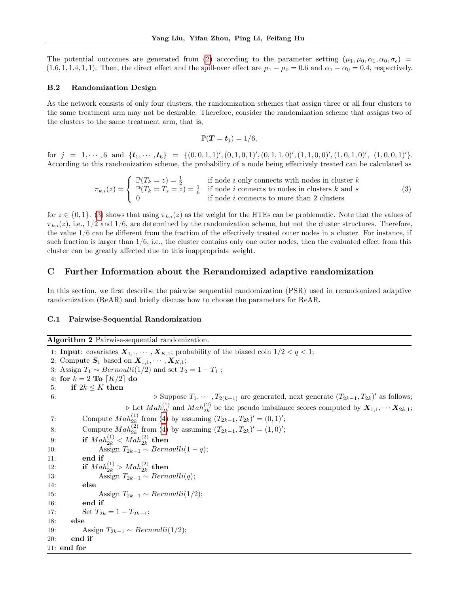The potential outcomes are generated from [\(2\)](#page-5-3) according to the parameter setting  $(\mu_1, \mu_0, \alpha_1, \alpha_0, \sigma_{\epsilon})$  $(1.6, 1, 1.4, 1, 1)$ . Then, the direct effect and the spill-over effect are  $\mu_1 - \mu_0 = 0.6$  and  $\alpha_1 - \alpha_0 = 0.4$ , respectively.

#### <span id="page-12-1"></span>B.2 Randomization Design

As the network consists of only four clusters, the randomization schemes that assign three or all four clusters to the same treatment arm may not be desirable. Therefore, consider the randomization scheme that assigns two of the clusters to the same treatment arm, that is,

<span id="page-12-2"></span>
$$
\mathbb{P}(T=t_j)=1/6,
$$

for  $j = 1, \dots, 6$  and  $\{t_1, \dots, t_6\} = \{(0, 0, 1, 1), (0, 1, 0, 1), (0, 1, 1, 0), (1, 1, 0, 0), (1, 0, 1, 0), (1, 0, 0, 1)\}$ . According to this randomization scheme, the probability of a node being effectively treated can be calculated as

$$
\pi_{k,i}(z) = \begin{cases}\n\mathbb{P}(T_k = z) = \frac{1}{2} & \text{if node } i \text{ only connects with nodes in cluster } k \\
\mathbb{P}(T_k = T_s = z) = \frac{1}{6} & \text{if node } i \text{ connects to nodes in clusters } k \text{ and } s \\
0 & \text{if node } i \text{ connects to more than 2 clusters}\n\end{cases}
$$
\n(3)

for  $z \in \{0,1\}$ . [\(3\)](#page-12-2) shows that using  $\pi_{k,i}(z)$  as the weight for the HTEs can be problematic. Note that the values of  $\pi_{k,i}(z)$ , i.e.,  $1/2$  and  $1/6$ , are determined by the randomization scheme, but not the cluster structures. Therefore, the value 1/6 can be different from the fraction of the effectively treated outer nodes in a cluster. For instance, if such fraction is larger than  $1/6$ , i.e., the cluster contains only one outer nodes, then the evaluated effect from this cluster can be greatly affected due to this inappropriate weight.

### C Further Information about the Rerandomized adaptive randomization

In this section, we first describe the pairwise sequential randomization (PSR) used in rerandomized adaptive randomization (ReAR) and briefly discuss how to choose the parameters for ReAR.

#### <span id="page-12-0"></span>C.1 Pairwise-Sequential Randomization

<span id="page-12-3"></span>Algorithm 2 Pairwise-sequential randomization.

1: **Input:** covariates  $X_{1,1}, \dots, X_{K,1}$ ; probability of the biased coin  $1/2 < q < 1$ ; 2: Compute  $S_1$  based on  $X_{1,1}, \cdots, X_{K,1}$ ; 3: Assign  $T_1 \sim Bernoulli(1/2)$  and set  $T_2 = 1 - T_1$ ; 4: for  $k = 2$  To  $\lceil K/2 \rceil$  do 5: if  $2k \leq K$  then 6:  $\triangleright$  Suppose  $T_1, \dots, T_{2(k-1)}$  are generated, next generate  $(T_{2k-1}, T_{2k})'$  as follows;  $\triangleright$  Let  $Mah_{2k}^{(1)}$  and  $Mah_{2k}^{(2)}$  be the pseudo imbalance scores computed by  $X_{1,1}, \dots X_{2k,1}$ ; 7: Compute  $Mah_{2k}^{(1)}$  from [\(4\)](#page-13-2) by assuming  $(T_{2k-1}, T_{2k})' = (0, 1)';$ 8: Compute  $Mah_{2k}^{(2)}$  from [\(4\)](#page-13-2) by assuming  $(T_{2k-1}, T_{2k})' = (1, 0)';$ 9: if  $Mah_{2k}^{(1)} < Mah_{2k}^{(2)}$  then 10: Assign  $T_{2k-1} \sim Bernoulli(1-q);$ 11: end if 12: **if**  $Mah_{2k}^{(1)} > Mah_{2k}^{(2)}$  then 13: Assign  $T_{2k-1} \sim Bernoulli(q);$ 14: else 15: Assign  $T_{2k-1} \sim Bernoulli(1/2);$ 16: end if 17: Set  $T_{2k} = 1 - T_{2k-1};$ 18: else 19: Assign  $T_{2k-1} \sim Bernoulli(1/2);$ 20: end if 21: end for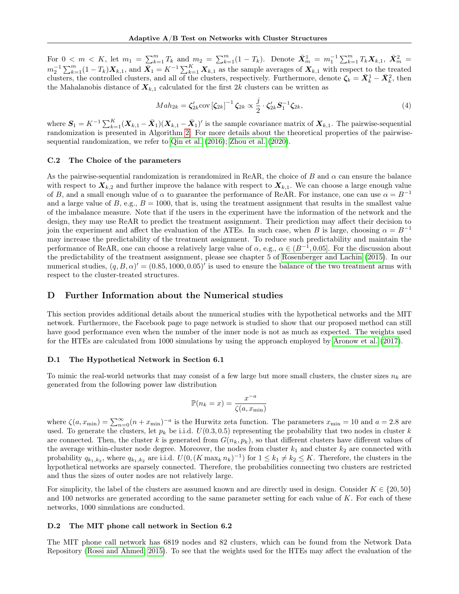For  $0 < m < K$ , let  $m_1 = \sum_{k=1}^{m} T_k$  and  $m_2 = \sum_{k=1}^{m} (1 - T_k)$ . Denote  $\bar{X}_m^1 = m_1^{-1} \sum_{k=1}^{m} T_k X_{k,1}$ ,  $\bar{X}_m^2 =$  $m_2^{-1} \sum_{k=1}^m (1-T_k) X_{k,1}$ , and  $\bar{X}_1 = K^{-1} \sum_{k=1}^K X_{k,1}$  as the sample averages of  $X_{k,1}$  with respect to the treated clusters, the controlled clusters, and all of the clusters, respectively. Furthermore, denote  $\zeta_k = \bar{X}_k^1 - \bar{X}_k^2$ , then the Mahalanobis distance of  $X_{k,1}$  calculated for the first 2k clusters can be written as

<span id="page-13-2"></span>
$$
Mah_{2k} = \zeta_{2k}' \text{cov} \left[\zeta_{2k}\right]^{-1} \zeta_{2k} \propto \frac{j}{2} \cdot \zeta_{2k}' \mathbf{S}_1^{-1} \zeta_{2k},\tag{4}
$$

where  $S_1 = K^{-1} \sum_{k=1}^{K} (\boldsymbol{X}_{k,1} - \bar{\boldsymbol{X}}_1)(\boldsymbol{X}_{k,1} - \bar{\boldsymbol{X}}_1)'$  is the sample covariance matrix of  $\boldsymbol{X}_{k,1}$ . The pairwise-sequential randomization is presented in Algorithm [2.](#page-12-3) For more details about the theoretical properties of the pairwisesequential randomization, we refer to [Qin et al.](#page-9-4) [\(2016\)](#page-9-4); [Zhou et al.](#page-9-8) [\(2020\)](#page-9-8).

#### <span id="page-13-0"></span>C.2 The Choice of the parameters

As the pairwise-sequential randomization is rerandomized in ReAR, the choice of B and  $\alpha$  can ensure the balance with respect to  $X_{k,2}$  and further improve the balance with respect to  $X_{k,1}$ . We can choose a large enough value of B, and a small enough value of  $\alpha$  to guarantee the performance of ReAR. For instance, one can use  $\alpha = B^{-1}$ and a large value of B, e.g.,  $B = 1000$ , that is, using the treatment assignment that results in the smallest value of the imbalance measure. Note that if the users in the experiment have the information of the network and the design, they may use ReAR to predict the treatment assignment. Their prediction may affect their decision to join the experiment and affect the evaluation of the ATEs. In such case, when B is large, choosing  $\alpha = B^{-1}$ may increase the predictability of the treatment assignment. To reduce such predictability and maintain the performance of ReAR, one can choose a relatively large value of  $\alpha$ , e.g.,  $\alpha \in (B^{-1}, 0.05]$ . For the discussion about the predictability of the treatment assignment, please see chapter 5 of [Rosenberger and Lachin](#page-9-14) [\(2015\)](#page-9-14). In our numerical studies,  $(q, B, \alpha)' = (0.85, 1000, 0.05)'$  is used to ensure the balance of the two treatment arms with respect to the cluster-treated structures.

### D Further Information about the Numerical studies

This section provides additional details about the numerical studies with the hypothetical networks and the MIT network. Furthermore, the Facebook page to page network is studied to show that our proposed method can still have good performance even when the number of the inner node is not as much as expected. The weights used for the HTEs are calculated from 1000 simulations by using the approach employed by [Aronow et al.](#page-8-7) [\(2017\)](#page-8-7).

#### <span id="page-13-1"></span>D.1 The Hypothetical Network in Section 6.1

To mimic the real-world networks that may consist of a few large but more small clusters, the cluster sizes  $n_k$  are generated from the following power law distribution

$$
\mathbb{P}(n_k = x) = \frac{x^{-a}}{\zeta(a, x_{\min})}
$$

where  $\zeta(a, x_{\min}) = \sum_{n=0}^{\infty} (n + x_{\min})^{-a}$  is the Hurwitz zeta function. The parameters  $x_{\min} = 10$  and  $a = 2.8$  are used. To generate the clusters, let  $p_k$  be i.i.d.  $U(0.3, 0.5)$  representing the probability that two nodes in cluster k are connected. Then, the cluster k is generated from  $G(n_k, p_k)$ , so that different clusters have different values of the average within-cluster node degree. Moreover, the nodes from cluster  $k_1$  and cluster  $k_2$  are connected with probability  $q_{k_1,k_2}$ , where  $q_{k_1,k_2}$  are i.i.d.  $U(0, (K \max_k n_k)^{-1})$  for  $1 \leq k_1 \neq k_2 \leq K$ . Therefore, the clusters in the hypothetical networks are sparsely connected. Therefore, the probabilities connecting two clusters are restricted and thus the sizes of outer nodes are not relatively large.

For simplicity, the label of the clusters are assumed known and are directly used in design. Consider  $K \in \{20, 50\}$ and 100 networks are generated according to the same parameter setting for each value of K. For each of these networks, 1000 simulations are conducted.

#### D.2 The MIT phone call network in Section 6.2

The MIT phone call network has 6819 nodes and 82 clusters, which can be found from the Network Data Repository [\(Rossi and Ahmed, 2015\)](#page-9-9). To see that the weights used for the HTEs may affect the evaluation of the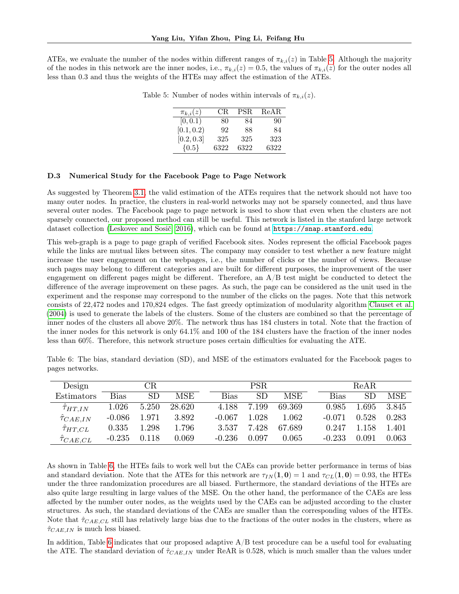<span id="page-14-1"></span>ATEs, we evaluate the number of the nodes within different ranges of  $\pi_{k,i}(z)$  in Table [5.](#page-14-1) Although the majority of the nodes in this network are the inner nodes, i.e.,  $\pi_{k,i}(z) = 0.5$ , the values of  $\pi_{k,i}(z)$  for the outer nodes all less than 0.3 and thus the weights of the HTEs may affect the estimation of the ATEs.

| $\pi_{k,i}(z)$ | CR.  | PSR. | ReAR |
|----------------|------|------|------|
| [0, 0.1)       | 80   | 84   | 90   |
| [0.1, 0.2)     | 92   | 88   | 84   |
| [0.2, 0.3]     | 325  | 325  | 323  |
| ${0.5}$        | 6322 | 6322 | 6322 |

Table 5: Number of nodes within intervals of  $\pi_{k,i}(z)$ .

#### <span id="page-14-0"></span>D.3 Numerical Study for the Facebook Page to Page Network

As suggested by Theorem [3.1,](#page-2-3) the valid estimation of the ATEs requires that the network should not have too many outer nodes. In practice, the clusters in real-world networks may not be sparsely connected, and thus have several outer nodes. The Facebook page to page network is used to show that even when the clusters are not sparsely connected, our proposed method can still be useful. This network is listed in the stanford large network dataset collection [\(Leskovec and Sosič, 2016\)](#page-8-13), which can be found at <https://snap.stanford.edu>.

This web-graph is a page to page graph of verified Facebook sites. Nodes represent the official Facebook pages while the links are mutual likes between sites. The company may consider to test whether a new feature might increase the user engagement on the webpages, i.e., the number of clicks or the number of views. Because such pages may belong to different categories and are built for different purposes, the improvement of the user engagement on different pages might be different. Therefore, an  $A/B$  test might be conducted to detect the difference of the average improvement on these pages. As such, the page can be considered as the unit used in the experiment and the response may correspond to the number of the clicks on the pages. Note that this network consists of 22,472 nodes and 170,824 edges. The fast greedy optimization of modularity algorithm [Clauset et al.](#page-8-5) [\(2004\)](#page-8-5) is used to generate the labels of the clusters. Some of the clusters are combined so that the percentage of inner nodes of the clusters all above 20%. The network thus has 184 clusters in total. Note that the fraction of the inner nodes for this network is only 64.1% and 100 of the 184 clusters have the fraction of the inner nodes less than 60%. Therefore, this network structure poses certain difficulties for evaluating the ATE.

<span id="page-14-2"></span>Table 6: The bias, standard deviation (SD), and MSE of the estimators evaluated for the Facebook pages to pages networks.

| Design                  | CR        |           |        |  | PSR.     |           |        |  | ReAR     |       |       |  |
|-------------------------|-----------|-----------|--------|--|----------|-----------|--------|--|----------|-------|-------|--|
| <b>Estimators</b>       | Bias      | <b>SD</b> | MSE    |  | Bias     | <b>SD</b> | MSE    |  | Bias     | SD    | MSE   |  |
| $\hat{\tau}_{HT,IN}$    | $1.026\,$ | 5.250     | 28.620 |  | 4.188    | 7.199     | 69.369 |  | 0.985    | 1.695 | 3.845 |  |
| $\hat{\tau}_{CAE,IN}$   | $-0.086$  | 1.971     | 3.892  |  | $-0.067$ | 1.028     | 1.062  |  | $-0.071$ | 0.528 | 0.283 |  |
| $\hat\tau_{HT,CL}$      | 0.335     | 1.298     | 1.796  |  | 3.537    | 7.428     | 67.689 |  | 0.247    | 1.158 | 1.401 |  |
| $\tilde{\tau}_{CAE,CL}$ | $-0.235$  | 0.118     | 0.069  |  | $-0.236$ | 0.097     | 0.065  |  | $-0.233$ | 0.091 | 0.063 |  |

As shown in Table [6,](#page-14-2) the HTEs fails to work well but the CAEs can provide better performance in terms of bias and standard deviation. Note that the ATEs for this network are  $\tau_{IN}(1, 0) = 1$  and  $\tau_{CL}(1, 0) = 0.93$ , the HTEs under the three randomization procedures are all biased. Furthermore, the standard deviations of the HTEs are also quite large resulting in large values of the MSE. On the other hand, the performance of the CAEs are less affected by the number outer nodes, as the weights used by the CAEs can be adjusted according to the cluster structures. As such, the standard deviations of the CAEs are smaller than the corresponding values of the HTEs. Note that  $\hat{\tau}_{CAE,CL}$  still has relatively large bias due to the fractions of the outer nodes in the clusters, where as  $\hat{\tau}_{CAE,IN}$  is much less biased.

In addition, Table [6](#page-14-2) indicates that our proposed adaptive  $A/B$  test procedure can be a useful tool for evaluating the ATE. The standard deviation of  $\hat{\tau}_{CAE,IN}$  under ReAR is 0.528, which is much smaller than the values under